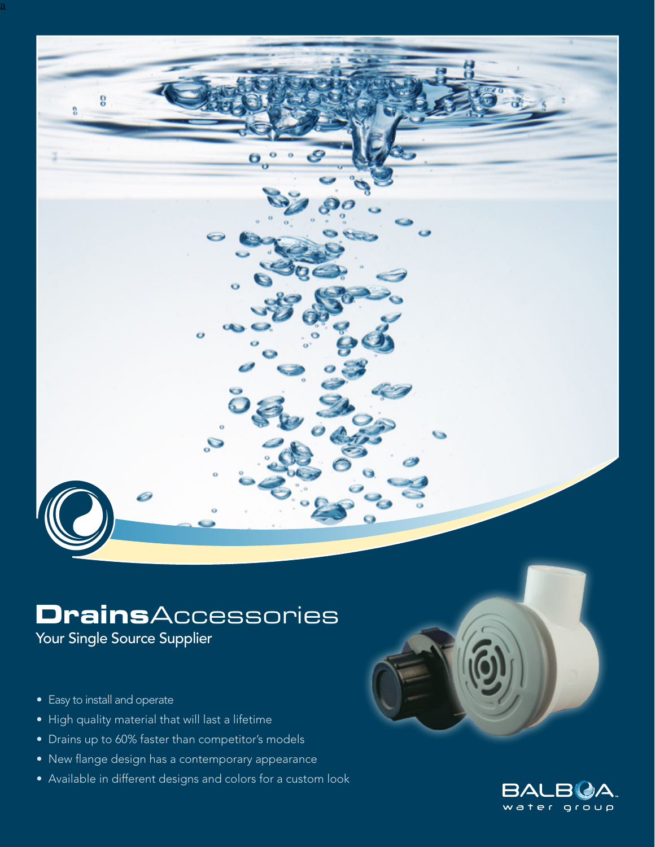

Ö

Your Single Source Supplier

• Easy to install and operate

a

9

- High quality material that will last a lifetime
- Drains up to 60% faster than competitor's models
- New flange design has a contemporary appearance
- Available in different designs and colors for a custom look